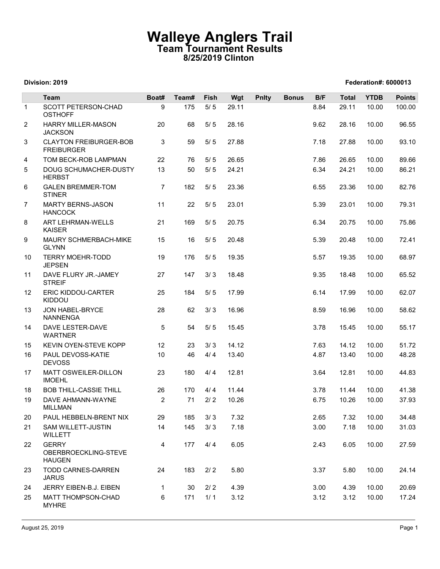## Walleye Anglers Trail Team Tournament Results 8/25/2019 Clinton

|                |                                                             |                 | <b>Walleye Anglers Trail</b><br>Team Tournament Results |              | 8/25/2019 Clinton |              |              |              |                |                      |                |
|----------------|-------------------------------------------------------------|-----------------|---------------------------------------------------------|--------------|-------------------|--------------|--------------|--------------|----------------|----------------------|----------------|
|                | Division: 2019                                              |                 |                                                         |              |                   |              |              |              |                | Federation#: 6000013 |                |
|                | <b>Team</b>                                                 | Boat#           | Team#                                                   | Fish         | Wgt               | <b>Pnlty</b> | <b>Bonus</b> | B/F          | <b>Total</b>   | <b>YTDB</b>          | <b>Points</b>  |
| $\mathbf{1}$   | SCOTT PETERSON-CHAD<br><b>OSTHOFF</b>                       | 9               | 175                                                     | $5/5$        | 29.11             |              |              | 8.84         | 29.11          | 10.00                | 100.00         |
| $\overline{2}$ | <b>HARRY MILLER-MASON</b><br><b>JACKSON</b>                 | 20              | 68                                                      | 5/5          | 28.16             |              |              | 9.62         | 28.16          | 10.00                | 96.55          |
| 3              | <b>CLAYTON FREIBURGER-BOB</b><br><b>FREIBURGER</b>          | 3               | 59                                                      | 5/5          | 27.88             |              |              | 7.18         | 27.88          | 10.00                | 93.10          |
| $\overline{4}$ | TOM BECK-ROB LAMPMAN                                        | 22              | 76                                                      | $5/5$        | 26.65             |              |              | 7.86         | 26.65          | 10.00                | 89.66          |
| 5              | DOUG SCHUMACHER-DUSTY<br><b>HERBST</b>                      | 13              | 50                                                      | 5/5          | 24.21             |              |              | 6.34         | 24.21          | 10.00                | 86.21          |
| 6              | <b>GALEN BREMMER-TOM</b><br><b>STINER</b>                   | $\overline{7}$  | 182                                                     | 5/5          | 23.36             |              |              | 6.55         | 23.36          | 10.00                | 82.76          |
| $\overline{7}$ | <b>MARTY BERNS-JASON</b><br><b>HANCOCK</b>                  | 11              | 22                                                      | 5/5          | 23.01             |              |              | 5.39         | 23.01          | 10.00                | 79.31          |
| 8              | ART LEHRMAN-WELLS<br>KAISER                                 | 21              | 169                                                     | 5/5          | 20.75             |              |              | 6.34         | 20.75          | 10.00                | 75.86          |
| 9              | MAURY SCHMERBACH-MIKE<br><b>GLYNN</b>                       | 15              | 16                                                      | 5/5          | 20.48             |              |              | 5.39         | 20.48          | 10.00                | 72.41          |
| 10             | TERRY MOEHR-TODD<br><b>JEPSEN</b>                           | 19              | 176                                                     | 5/5          | 19.35             |              |              | 5.57         | 19.35          | 10.00                | 68.97          |
| 11<br>12       | DAVE FLURY JR.-JAMEY<br><b>STREIF</b><br>ERIC KIDDOU-CARTER | 27<br>25        | 147<br>184                                              | 3/3<br>$5/5$ | 18.48<br>17.99    |              |              | 9.35<br>6.14 | 18.48<br>17.99 | 10.00<br>10.00       | 65.52<br>62.07 |
| 13             | <b>KIDDOU</b><br>JON HABEL-BRYCE                            | 28              | 62                                                      | 3/3          | 16.96             |              |              | 8.59         | 16.96          | 10.00                | 58.62          |
| 14             | <b>NANNENGA</b><br>DAVE LESTER-DAVE                         | $5\phantom{.0}$ | 54                                                      | 5/5          | 15.45             |              |              | 3.78         | 15.45          | 10.00                | 55.17          |
|                | <b>WARTNER</b>                                              |                 |                                                         |              |                   |              |              |              |                |                      |                |
| 15             | KEVIN OYEN-STEVE KOPP                                       | 12              | 23                                                      | 3/3          | 14.12             |              |              | 7.63         | 14.12          | 10.00                | 51.72          |
| 16<br>17       | PAUL DEVOSS-KATIE<br><b>DEVOSS</b><br>MATT OSWEILER-DILLON  | 10              | 46<br>180                                               | 4/4<br>4/4   | 13.40<br>12.81    |              |              | 4.87<br>3.64 | 13.40<br>12.81 | 10.00                | 48.28<br>44.83 |
| 18             | <b>IMOEHL</b><br><b>BOB THILL-CASSIE THILL</b>              | 23<br>26        | 170                                                     | 4/4          | 11.44             |              |              | 3.78         | 11.44          | 10.00<br>10.00       | 41.38          |
| 19             | DAVE AHMANN-WAYNE                                           | $\overline{2}$  | 71                                                      | 2/2          | 10.26             |              |              | 6.75         | 10.26          | 10.00                | 37.93          |
|                | <b>MILLMAN</b>                                              |                 |                                                         |              |                   |              |              |              |                |                      |                |
| 20             | PAUL HEBBELN-BRENT NIX                                      | 29              | 185                                                     | 3/3          | 7.32              |              |              | 2.65         | 7.32           | 10.00                | 34.48          |
| 21             | SAM WILLETT-JUSTIN<br><b>WILLETT</b><br><b>GERRY</b>        | 14              | 145<br>177                                              | 3/3          | 7.18              |              |              | 3.00<br>2.43 | 7.18<br>6.05   | 10.00                | 31.03<br>27.59 |
| 22             | OBERBROECKLING-STEVE<br><b>HAUGEN</b>                       | 4               |                                                         | 4/4          | 6.05              |              |              |              |                | 10.00                |                |
| 23             | TODD CARNES-DARREN<br><b>JARUS</b>                          | 24              | 183                                                     | 2/2          | 5.80              |              |              | 3.37         | 5.80           | 10.00                | 24.14          |
| 24             | JERRY EIBEN-B.J. EIBEN                                      | $\mathbf{1}$    | 30                                                      | 2/2          | 4.39              |              |              | 3.00         | 4.39           | 10.00                | 20.69          |
| 25             | MATT THOMPSON-CHAD<br><b>MYHRE</b>                          | 6               | 171                                                     | 1/1          | 3.12              |              |              | 3.12         | 3.12           | 10.00                | 17.24          |

## Division: 2019 Federation#: 6000013